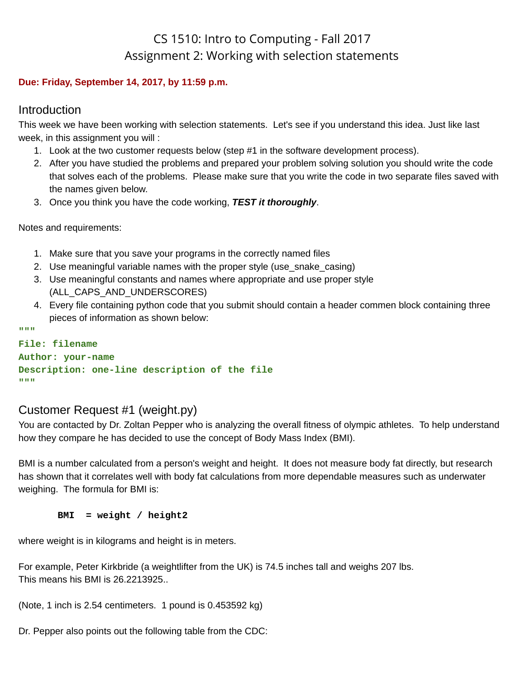# CS 1510: Intro to Computing - Fall 2017 Assignment 2: Working with selection statements

#### **Due: Friday, September 14, 2017, by 11:59 p.m.**

#### Introduction

This week we have been working with selection statements. Let's see if you understand this idea. Just like last week, in this assignment you will :

- 1. Look at the two customer requests below (step #1 in the software development process).
- 2. After you have studied the problems and prepared your problem solving solution you should write the code that solves each of the problems. Please make sure that you write the code in two separate files saved with the names given below.
- 3. Once you think you have the code working, *TEST it thoroughly*.

Notes and requirements:

- 1. Make sure that you save your programs in the correctly named files
- 2. Use meaningful variable names with the proper style (use snake casing)
- 3. Use meaningful constants and names where appropriate and use proper style (ALL CAPS AND UNDERSCORES)
- 4. Every file containing python code that you submit should contain a header commen block containing three pieces of information as shown below:

```
"""
```
#### **File: filename**

```
Author: your-name
Description: one-line description of the file
"""
```
### Customer Request #1 (weight.py)

You are contacted by Dr. Zoltan Pepper who is analyzing the overall fitness of olympic athletes. To help understand how they compare he has decided to use the concept of Body Mass Index (BMI).

BMI is a number calculated from a person's weight and height. It does not measure body fat directly, but research has shown that it correlates well with body fat calculations from more dependable measures such as underwater weighing. The formula for BMI is:

#### **BMI = weight / height2**

where weight is in kilograms and height is in meters.

```
For example, Peter Kirkbride (a weightlifter from the UK) is 74.5 inches tall and weighs 207 lbs.
This means his BMI is 26.2213925..
```

```
(Note, 1 inch is 2.54 centimeters. 1 pound is 0.453592 kg)
```
Dr. Pepper also points out the following table from the CDC: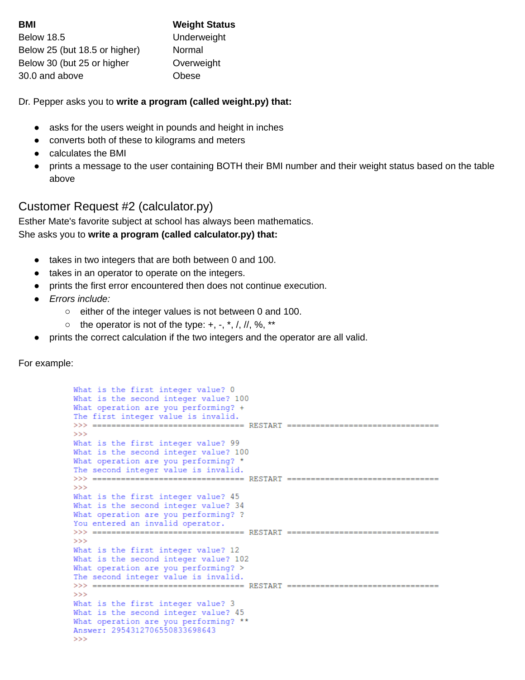| <b>BMI</b>                    | <b>Weight Status</b> |
|-------------------------------|----------------------|
| <b>Below 18.5</b>             | Underweight          |
| Below 25 (but 18.5 or higher) | Normal               |
| Below 30 (but 25 or higher    | Overweight           |
| 30.0 and above                | Obese                |

Dr. Pepper asks you to **write a program (called weight.py) that:**

- asks for the users weight in pounds and height in inches
- converts both of these to kilograms and meters
- calculates the BMI
- prints a message to the user containing BOTH their BMI number and their weight status based on the table above

## Customer Request #2 (calculator.py)

Esther Mate's favorite subject at school has always been mathematics. She asks you to **write a program (called calculator.py) that:**

- takes in two integers that are both between 0 and 100.
- takes in an operator to operate on the integers.
- prints the first error encountered then does not continue execution.
- *● Errors include:*
	- either of the integer values is not between 0 and 100.
	- $\circ$  the operator is not of the type:  $+, -, *, /, ll, \%$ , \*\*
- prints the correct calculation if the two integers and the operator are all valid.

For example:

```
What is the first integer value? O
What is the second integer value? 100
What operation are you performing? +
The first integer value is invalid.
>>> ================================ RESTART ==================================
555What is the first integer value? 99
What is the second integer value? 100
What operation are you performing? *
The second integer value is invalid.
>>> ================================= RESTART ==================================
>>What is the first integer value? 45
What is the second integer value? 34
What operation are you performing? ?
You entered an invalid operator.
>>> ================================= RESTART ==================================
>>>What is the first integer value? 12
What is the second integer value? 102
What operation are you performing? >
The second integer value is invalid.
>>> ================================= RESTART ==================================
>>What is the first integer value? 3
What is the second integer value? 45
What operation are you performing? **
Answer: 2954312706550833698643
>>
```